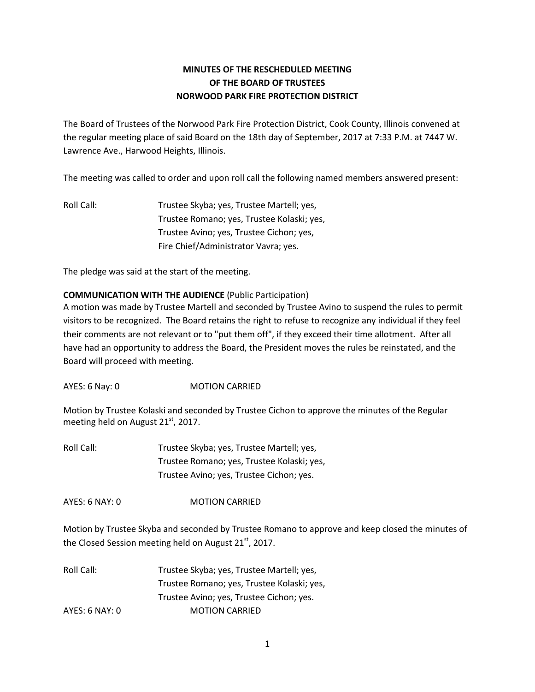# **MINUTES OF THE RESCHEDULED MEETING OF THE BOARD OF TRUSTEES NORWOOD PARK FIRE PROTECTION DISTRICT**

The Board of Trustees of the Norwood Park Fire Protection District, Cook County, Illinois convened at the regular meeting place of said Board on the 18th day of September, 2017 at 7:33 P.M. at 7447 W. Lawrence Ave., Harwood Heights, Illinois.

The meeting was called to order and upon roll call the following named members answered present:

Roll Call: Trustee Skyba; yes, Trustee Martell; yes, Trustee Romano; yes, Trustee Kolaski; yes, Trustee Avino; yes, Trustee Cichon; yes, Fire Chief/Administrator Vavra; yes.

The pledge was said at the start of the meeting.

### **COMMUNICATION WITH THE AUDIENCE** (Public Participation)

A motion was made by Trustee Martell and seconded by Trustee Avino to suspend the rules to permit visitors to be recognized. The Board retains the right to refuse to recognize any individual if they feel their comments are not relevant or to "put them off", if they exceed their time allotment. After all have had an opportunity to address the Board, the President moves the rules be reinstated, and the Board will proceed with meeting.

AYES: 6 Nay: 0 MOTION CARRIED

Motion by Trustee Kolaski and seconded by Trustee Cichon to approve the minutes of the Regular meeting held on August  $21<sup>st</sup>$ , 2017.

Roll Call: Trustee Skyba; yes, Trustee Martell; yes, Trustee Romano; yes, Trustee Kolaski; yes, Trustee Avino; yes, Trustee Cichon; yes.

AYES: 6 NAY: 0 MOTION CARRIED

Motion by Trustee Skyba and seconded by Trustee Romano to approve and keep closed the minutes of the Closed Session meeting held on August 21<sup>st</sup>, 2017.

Roll Call: Trustee Skyba; yes, Trustee Martell; yes, Trustee Romano; yes, Trustee Kolaski; yes, Trustee Avino; yes, Trustee Cichon; yes. AYES: 6 NAY: 0 MOTION CARRIED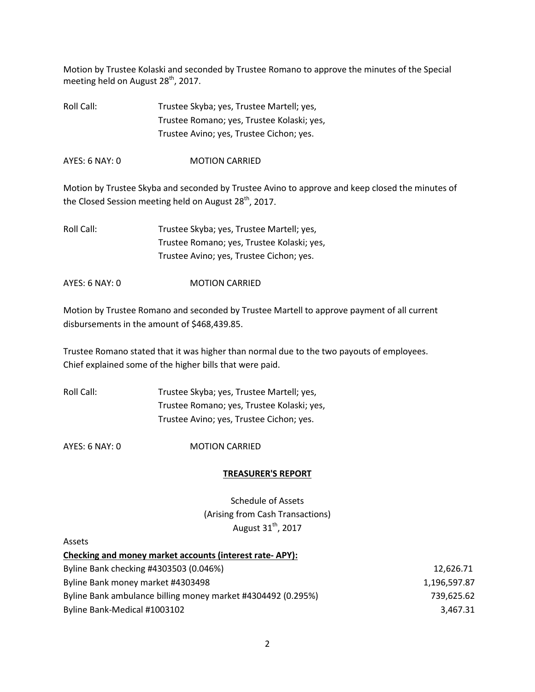Motion by Trustee Kolaski and seconded by Trustee Romano to approve the minutes of the Special meeting held on August 28<sup>th</sup>, 2017.

Roll Call: Trustee Skyba; yes, Trustee Martell; yes, Trustee Romano; yes, Trustee Kolaski; yes, Trustee Avino; yes, Trustee Cichon; yes.

AYES: 6 NAY: 0 MOTION CARRIED

Motion by Trustee Skyba and seconded by Trustee Avino to approve and keep closed the minutes of the Closed Session meeting held on August 28<sup>th</sup>, 2017.

Roll Call: Trustee Skyba; yes, Trustee Martell; yes, Trustee Romano; yes, Trustee Kolaski; yes, Trustee Avino; yes, Trustee Cichon; yes.

AYES: 6 NAY: 0 MOTION CARRIED

Motion by Trustee Romano and seconded by Trustee Martell to approve payment of all current disbursements in the amount of \$468,439.85.

Trustee Romano stated that it was higher than normal due to the two payouts of employees. Chief explained some of the higher bills that were paid.

| Roll Call: | Trustee Skyba; yes, Trustee Martell; yes,  |
|------------|--------------------------------------------|
|            | Trustee Romano; yes, Trustee Kolaski; yes, |
|            | Trustee Avino; yes, Trustee Cichon; yes.   |

AYES: 6 NAY: 0 MOTION CARRIED

#### **TREASURER'S REPORT**

Schedule of Assets (Arising from Cash Transactions) August  $31<sup>th</sup>$ , 2017

#### Assets

| Checking and money market accounts (interest rate-APY):      |              |
|--------------------------------------------------------------|--------------|
| Byline Bank checking #4303503 (0.046%)                       | 12.626.71    |
| Byline Bank money market #4303498                            | 1.196.597.87 |
| Byline Bank ambulance billing money market #4304492 (0.295%) | 739,625.62   |
| Byline Bank-Medical #1003102                                 | 3,467.31     |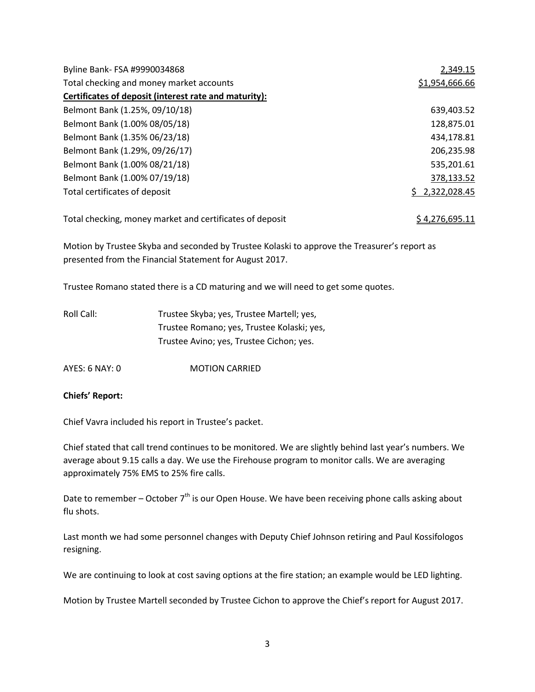| Byline Bank- FSA #9990034868                             | 2,349.15       |
|----------------------------------------------------------|----------------|
| Total checking and money market accounts                 | \$1,954,666.66 |
| Certificates of deposit (interest rate and maturity):    |                |
| Belmont Bank (1.25%, 09/10/18)                           | 639,403.52     |
| Belmont Bank (1.00% 08/05/18)                            | 128,875.01     |
| Belmont Bank (1.35% 06/23/18)                            | 434,178.81     |
| Belmont Bank (1.29%, 09/26/17)                           | 206,235.98     |
| Belmont Bank (1.00% 08/21/18)                            | 535,201.61     |
| Belmont Bank (1.00% 07/19/18)                            | 378,133.52     |
| Total certificates of deposit                            | \$2,322,028.45 |
| Total checking, money market and certificates of deposit | \$4,276,695.11 |

Motion by Trustee Skyba and seconded by Trustee Kolaski to approve the Treasurer's report as presented from the Financial Statement for August 2017.

Trustee Romano stated there is a CD maturing and we will need to get some quotes.

| Roll Call: | Trustee Skyba; yes, Trustee Martell; yes,  |
|------------|--------------------------------------------|
|            | Trustee Romano; yes, Trustee Kolaski; yes, |
|            | Trustee Avino; yes, Trustee Cichon; yes.   |

AYES: 6 NAY: 0 MOTION CARRIED

#### **Chiefs' Report:**

Chief Vavra included his report in Trustee's packet.

Chief stated that call trend continues to be monitored. We are slightly behind last year's numbers. We average about 9.15 calls a day. We use the Firehouse program to monitor calls. We are averaging approximately 75% EMS to 25% fire calls.

Date to remember – October  $7<sup>th</sup>$  is our Open House. We have been receiving phone calls asking about flu shots.

Last month we had some personnel changes with Deputy Chief Johnson retiring and Paul Kossifologos resigning.

We are continuing to look at cost saving options at the fire station; an example would be LED lighting.

Motion by Trustee Martell seconded by Trustee Cichon to approve the Chief's report for August 2017.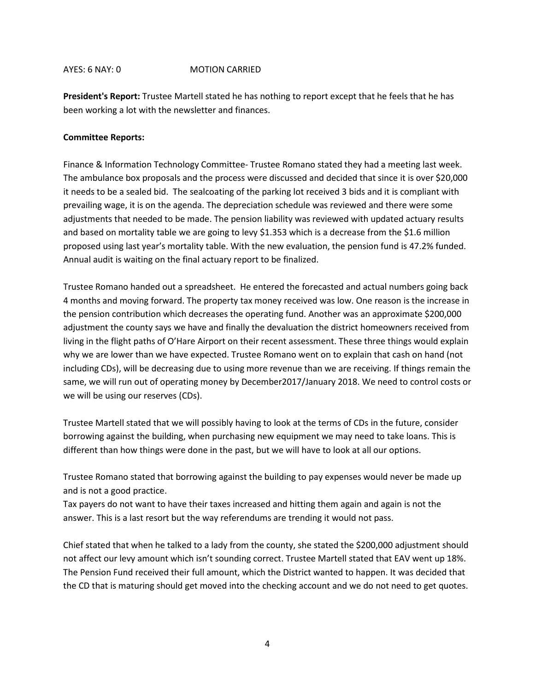#### AYES: 6 NAY: 0 MOTION CARRIED

**President's Report:** Trustee Martell stated he has nothing to report except that he feels that he has been working a lot with the newsletter and finances.

#### **Committee Reports:**

Finance & Information Technology Committee- Trustee Romano stated they had a meeting last week. The ambulance box proposals and the process were discussed and decided that since it is over \$20,000 it needs to be a sealed bid. The sealcoating of the parking lot received 3 bids and it is compliant with prevailing wage, it is on the agenda. The depreciation schedule was reviewed and there were some adjustments that needed to be made. The pension liability was reviewed with updated actuary results and based on mortality table we are going to levy \$1.353 which is a decrease from the \$1.6 million proposed using last year's mortality table. With the new evaluation, the pension fund is 47.2% funded. Annual audit is waiting on the final actuary report to be finalized.

Trustee Romano handed out a spreadsheet. He entered the forecasted and actual numbers going back 4 months and moving forward. The property tax money received was low. One reason is the increase in the pension contribution which decreases the operating fund. Another was an approximate \$200,000 adjustment the county says we have and finally the devaluation the district homeowners received from living in the flight paths of O'Hare Airport on their recent assessment. These three things would explain why we are lower than we have expected. Trustee Romano went on to explain that cash on hand (not including CDs), will be decreasing due to using more revenue than we are receiving. If things remain the same, we will run out of operating money by December2017/January 2018. We need to control costs or we will be using our reserves (CDs).

Trustee Martell stated that we will possibly having to look at the terms of CDs in the future, consider borrowing against the building, when purchasing new equipment we may need to take loans. This is different than how things were done in the past, but we will have to look at all our options.

Trustee Romano stated that borrowing against the building to pay expenses would never be made up and is not a good practice.

Tax payers do not want to have their taxes increased and hitting them again and again is not the answer. This is a last resort but the way referendums are trending it would not pass.

Chief stated that when he talked to a lady from the county, she stated the \$200,000 adjustment should not affect our levy amount which isn't sounding correct. Trustee Martell stated that EAV went up 18%. The Pension Fund received their full amount, which the District wanted to happen. It was decided that the CD that is maturing should get moved into the checking account and we do not need to get quotes.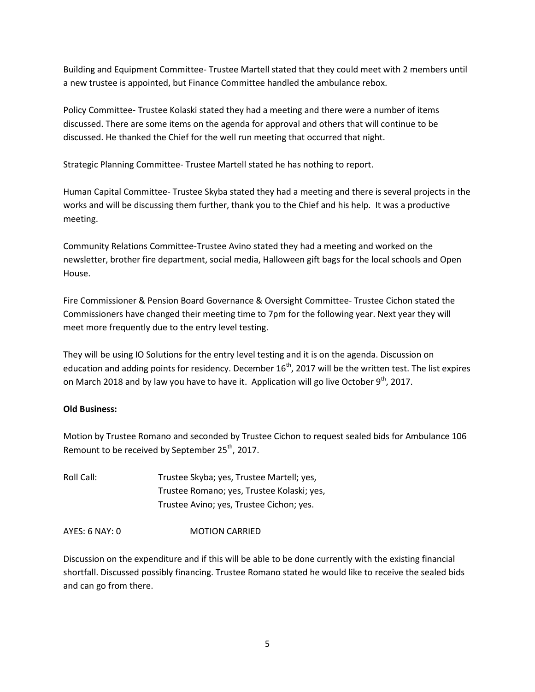Building and Equipment Committee- Trustee Martell stated that they could meet with 2 members until a new trustee is appointed, but Finance Committee handled the ambulance rebox.

Policy Committee- Trustee Kolaski stated they had a meeting and there were a number of items discussed. There are some items on the agenda for approval and others that will continue to be discussed. He thanked the Chief for the well run meeting that occurred that night.

Strategic Planning Committee- Trustee Martell stated he has nothing to report.

Human Capital Committee- Trustee Skyba stated they had a meeting and there is several projects in the works and will be discussing them further, thank you to the Chief and his help. It was a productive meeting.

Community Relations Committee-Trustee Avino stated they had a meeting and worked on the newsletter, brother fire department, social media, Halloween gift bags for the local schools and Open House.

Fire Commissioner & Pension Board Governance & Oversight Committee- Trustee Cichon stated the Commissioners have changed their meeting time to 7pm for the following year. Next year they will meet more frequently due to the entry level testing.

They will be using IO Solutions for the entry level testing and it is on the agenda. Discussion on education and adding points for residency. December  $16<sup>th</sup>$ , 2017 will be the written test. The list expires on March 2018 and by law you have to have it. Application will go live October 9<sup>th</sup>, 2017.

## **Old Business:**

Motion by Trustee Romano and seconded by Trustee Cichon to request sealed bids for Ambulance 106 Remount to be received by September 25<sup>th</sup>, 2017.

Roll Call: Trustee Skyba; yes, Trustee Martell; yes, Trustee Romano; yes, Trustee Kolaski; yes, Trustee Avino; yes, Trustee Cichon; yes.

AYES: 6 NAY: 0 MOTION CARRIED

Discussion on the expenditure and if this will be able to be done currently with the existing financial shortfall. Discussed possibly financing. Trustee Romano stated he would like to receive the sealed bids and can go from there.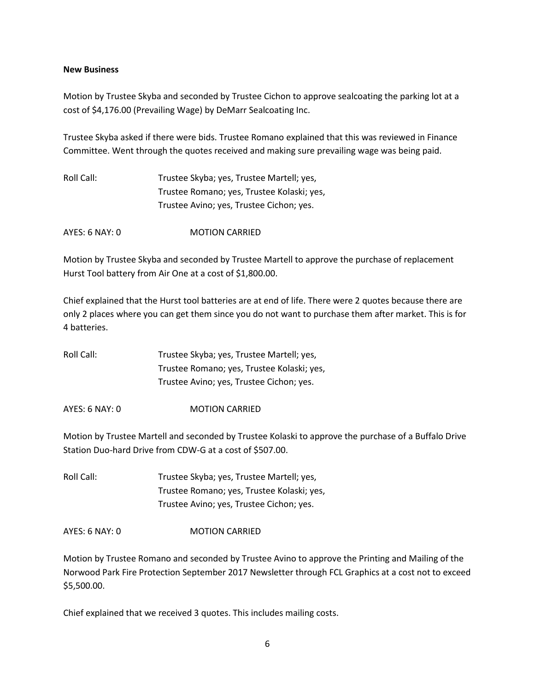#### **New Business**

Motion by Trustee Skyba and seconded by Trustee Cichon to approve sealcoating the parking lot at a cost of \$4,176.00 (Prevailing Wage) by DeMarr Sealcoating Inc.

Trustee Skyba asked if there were bids. Trustee Romano explained that this was reviewed in Finance Committee. Went through the quotes received and making sure prevailing wage was being paid.

| Roll Call: | Trustee Skyba; yes, Trustee Martell; yes,  |
|------------|--------------------------------------------|
|            | Trustee Romano; yes, Trustee Kolaski; yes, |
|            | Trustee Avino; yes, Trustee Cichon; yes.   |

AYES: 6 NAY: 0 MOTION CARRIED

Motion by Trustee Skyba and seconded by Trustee Martell to approve the purchase of replacement Hurst Tool battery from Air One at a cost of \$1,800.00.

Chief explained that the Hurst tool batteries are at end of life. There were 2 quotes because there are only 2 places where you can get them since you do not want to purchase them after market. This is for 4 batteries.

| Roll Call: | Trustee Skyba; yes, Trustee Martell; yes,  |
|------------|--------------------------------------------|
|            | Trustee Romano; yes, Trustee Kolaski; yes, |
|            | Trustee Avino; yes, Trustee Cichon; yes.   |

AYES: 6 NAY: 0 MOTION CARRIED

Motion by Trustee Martell and seconded by Trustee Kolaski to approve the purchase of a Buffalo Drive Station Duo-hard Drive from CDW-G at a cost of \$507.00.

Roll Call: Trustee Skyba; yes, Trustee Martell; yes, Trustee Romano; yes, Trustee Kolaski; yes, Trustee Avino; yes, Trustee Cichon; yes.

AYES: 6 NAY: 0 MOTION CARRIED

Motion by Trustee Romano and seconded by Trustee Avino to approve the Printing and Mailing of the Norwood Park Fire Protection September 2017 Newsletter through FCL Graphics at a cost not to exceed \$5,500.00.

Chief explained that we received 3 quotes. This includes mailing costs.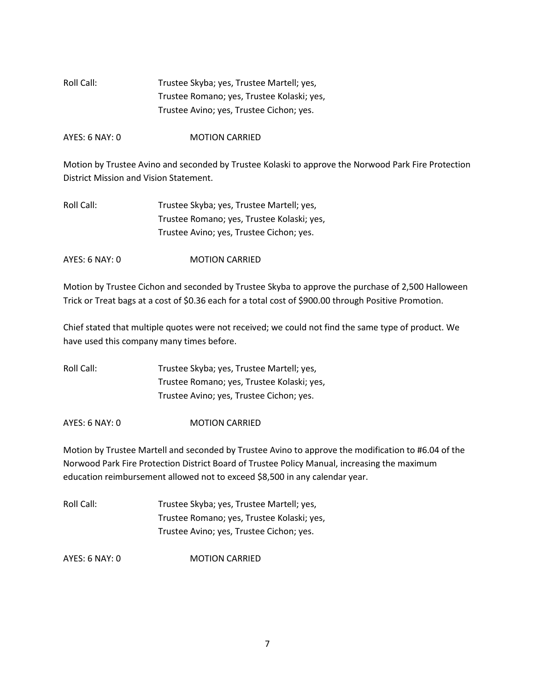| Roll Call: | Trustee Skyba; yes, Trustee Martell; yes,  |
|------------|--------------------------------------------|
|            | Trustee Romano; yes, Trustee Kolaski; yes, |
|            | Trustee Avino; yes, Trustee Cichon; yes.   |

AYES: 6 NAY: 0 MOTION CARRIED

Motion by Trustee Avino and seconded by Trustee Kolaski to approve the Norwood Park Fire Protection District Mission and Vision Statement.

| Roll Call: | Trustee Skyba; yes, Trustee Martell; yes,  |
|------------|--------------------------------------------|
|            | Trustee Romano; yes, Trustee Kolaski; yes, |
|            | Trustee Avino; yes, Trustee Cichon; yes.   |

AYES: 6 NAY: 0 MOTION CARRIED

Motion by Trustee Cichon and seconded by Trustee Skyba to approve the purchase of 2,500 Halloween Trick or Treat bags at a cost of \$0.36 each for a total cost of \$900.00 through Positive Promotion.

Chief stated that multiple quotes were not received; we could not find the same type of product. We have used this company many times before.

Roll Call: Trustee Skyba; yes, Trustee Martell; yes, Trustee Romano; yes, Trustee Kolaski; yes, Trustee Avino; yes, Trustee Cichon; yes.

AYES: 6 NAY: 0 MOTION CARRIED

Motion by Trustee Martell and seconded by Trustee Avino to approve the modification to #6.04 of the Norwood Park Fire Protection District Board of Trustee Policy Manual, increasing the maximum education reimbursement allowed not to exceed \$8,500 in any calendar year.

| Roll Call: | Trustee Skyba; yes, Trustee Martell; yes,  |
|------------|--------------------------------------------|
|            | Trustee Romano; yes, Trustee Kolaski; yes, |
|            | Trustee Avino; yes, Trustee Cichon; yes.   |

AYES: 6 NAY: 0 MOTION CARRIED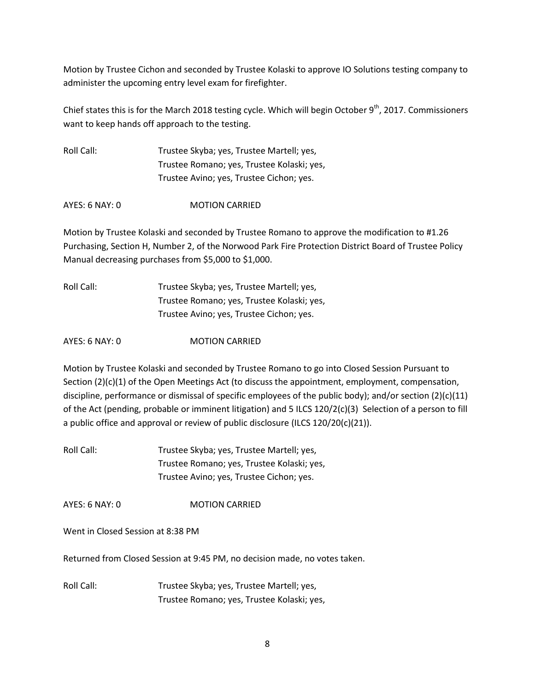Motion by Trustee Cichon and seconded by Trustee Kolaski to approve IO Solutions testing company to administer the upcoming entry level exam for firefighter.

Chief states this is for the March 2018 testing cycle. Which will begin October  $9<sup>th</sup>$ , 2017. Commissioners want to keep hands off approach to the testing.

| Roll Call: | Trustee Skyba; yes, Trustee Martell; yes,  |
|------------|--------------------------------------------|
|            | Trustee Romano; yes, Trustee Kolaski; yes, |
|            | Trustee Avino; yes, Trustee Cichon; yes.   |

AYES: 6 NAY: 0 MOTION CARRIED

Motion by Trustee Kolaski and seconded by Trustee Romano to approve the modification to #1.26 Purchasing, Section H, Number 2, of the Norwood Park Fire Protection District Board of Trustee Policy Manual decreasing purchases from \$5,000 to \$1,000.

Roll Call: Trustee Skyba; yes, Trustee Martell; yes, Trustee Romano; yes, Trustee Kolaski; yes, Trustee Avino; yes, Trustee Cichon; yes.

AYES: 6 NAY: 0 MOTION CARRIED

Motion by Trustee Kolaski and seconded by Trustee Romano to go into Closed Session Pursuant to Section (2)(c)(1) of the Open Meetings Act (to discuss the appointment, employment, compensation, discipline, performance or dismissal of specific employees of the public body); and/or section (2)(c)(11) of the Act (pending, probable or imminent litigation) and 5 ILCS 120/2(c)(3) Selection of a person to fill a public office and approval or review of public disclosure (ILCS 120/20(c)(21)).

Roll Call: Trustee Skyba; yes, Trustee Martell; yes, Trustee Romano; yes, Trustee Kolaski; yes, Trustee Avino; yes, Trustee Cichon; yes.

AYES: 6 NAY: 0 MOTION CARRIED

Went in Closed Session at 8:38 PM

Returned from Closed Session at 9:45 PM, no decision made, no votes taken.

Roll Call: Trustee Skyba; yes, Trustee Martell; yes, Trustee Romano; yes, Trustee Kolaski; yes,